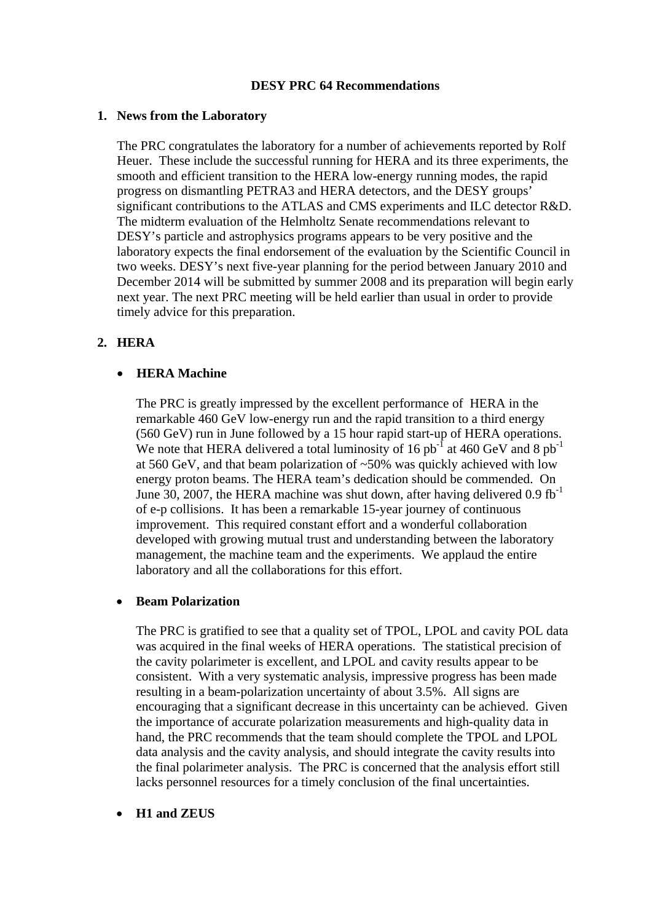### **DESY PRC 64 Recommendations**

### **1. News from the Laboratory**

The PRC congratulates the laboratory for a number of achievements reported by Rolf Heuer. These include the successful running for HERA and its three experiments, the smooth and efficient transition to the HERA low-energy running modes, the rapid progress on dismantling PETRA3 and HERA detectors, and the DESY groups' significant contributions to the ATLAS and CMS experiments and ILC detector R&D. The midterm evaluation of the Helmholtz Senate recommendations relevant to DESY's particle and astrophysics programs appears to be very positive and the laboratory expects the final endorsement of the evaluation by the Scientific Council in two weeks. DESY's next five-year planning for the period between January 2010 and December 2014 will be submitted by summer 2008 and its preparation will begin early next year. The next PRC meeting will be held earlier than usual in order to provide timely advice for this preparation.

# **2. HERA**

# • **HERA Machine**

The PRC is greatly impressed by the excellent performance of HERA in the remarkable 460 GeV low-energy run and the rapid transition to a third energy (560 GeV) run in June followed by a 15 hour rapid start-up of HERA operations. We note that HERA delivered a total luminosity of 16 pb<sup>-1</sup> at 460 GeV and 8 pb<sup>-1</sup> at 560 GeV, and that beam polarization of ~50% was quickly achieved with low energy proton beams. The HERA team's dedication should be commended. On June 30, 2007, the HERA machine was shut down, after having delivered  $0.9 \text{ fb}^{-1}$ of e-p collisions. It has been a remarkable 15-year journey of continuous improvement. This required constant effort and a wonderful collaboration developed with growing mutual trust and understanding between the laboratory management, the machine team and the experiments. We applaud the entire laboratory and all the collaborations for this effort.

### • **Beam Polarization**

The PRC is gratified to see that a quality set of TPOL, LPOL and cavity POL data was acquired in the final weeks of HERA operations. The statistical precision of the cavity polarimeter is excellent, and LPOL and cavity results appear to be consistent. With a very systematic analysis, impressive progress has been made resulting in a beam-polarization uncertainty of about 3.5%. All signs are encouraging that a significant decrease in this uncertainty can be achieved. Given the importance of accurate polarization measurements and high-quality data in hand, the PRC recommends that the team should complete the TPOL and LPOL data analysis and the cavity analysis, and should integrate the cavity results into the final polarimeter analysis. The PRC is concerned that the analysis effort still lacks personnel resources for a timely conclusion of the final uncertainties.

# • **H1 and ZEUS**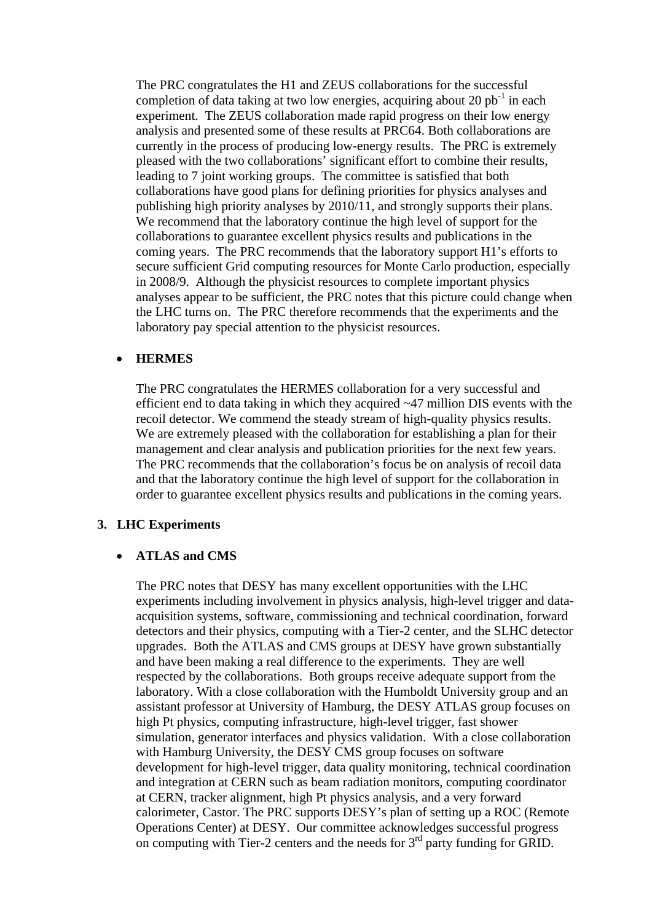The PRC congratulates the H1 and ZEUS collaborations for the successful completion of data taking at two low energies, acquiring about 20  $pb<sup>-1</sup>$  in each experiment. The ZEUS collaboration made rapid progress on their low energy analysis and presented some of these results at PRC64. Both collaborations are currently in the process of producing low-energy results. The PRC is extremely pleased with the two collaborations' significant effort to combine their results, leading to 7 joint working groups. The committee is satisfied that both collaborations have good plans for defining priorities for physics analyses and publishing high priority analyses by 2010/11, and strongly supports their plans. We recommend that the laboratory continue the high level of support for the collaborations to guarantee excellent physics results and publications in the coming years. The PRC recommends that the laboratory support H1's efforts to secure sufficient Grid computing resources for Monte Carlo production, especially in 2008/9. Although the physicist resources to complete important physics analyses appear to be sufficient, the PRC notes that this picture could change when the LHC turns on. The PRC therefore recommends that the experiments and the laboratory pay special attention to the physicist resources.

#### • **HERMES**

The PRC congratulates the HERMES collaboration for a very successful and efficient end to data taking in which they acquired ~47 million DIS events with the recoil detector. We commend the steady stream of high-quality physics results. We are extremely pleased with the collaboration for establishing a plan for their management and clear analysis and publication priorities for the next few years. The PRC recommends that the collaboration's focus be on analysis of recoil data and that the laboratory continue the high level of support for the collaboration in order to guarantee excellent physics results and publications in the coming years.

### **3. LHC Experiments**

#### • **ATLAS and CMS**

The PRC notes that DESY has many excellent opportunities with the LHC experiments including involvement in physics analysis, high-level trigger and dataacquisition systems, software, commissioning and technical coordination, forward detectors and their physics, computing with a Tier-2 center, and the SLHC detector upgrades. Both the ATLAS and CMS groups at DESY have grown substantially and have been making a real difference to the experiments. They are well respected by the collaborations. Both groups receive adequate support from the laboratory. With a close collaboration with the Humboldt University group and an assistant professor at University of Hamburg, the DESY ATLAS group focuses on high Pt physics, computing infrastructure, high-level trigger, fast shower simulation, generator interfaces and physics validation. With a close collaboration with Hamburg University, the DESY CMS group focuses on software development for high-level trigger, data quality monitoring, technical coordination and integration at CERN such as beam radiation monitors, computing coordinator at CERN, tracker alignment, high Pt physics analysis, and a very forward calorimeter, Castor. The PRC supports DESY's plan of setting up a ROC (Remote Operations Center) at DESY. Our committee acknowledges successful progress on computing with Tier-2 centers and the needs for  $3<sup>rd</sup>$  party funding for GRID.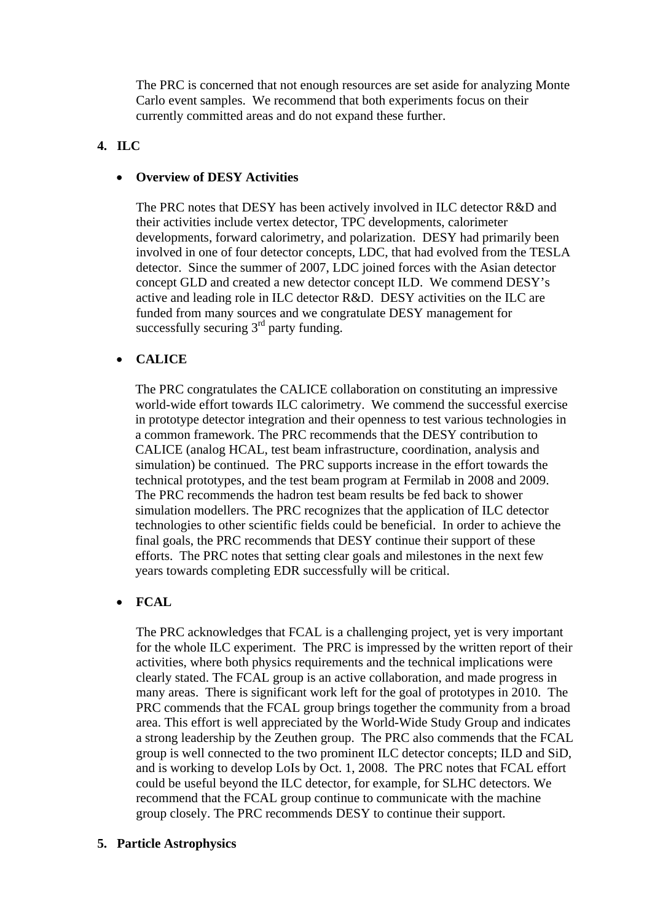The PRC is concerned that not enough resources are set aside for analyzing Monte Carlo event samples. We recommend that both experiments focus on their currently committed areas and do not expand these further.

# **4. ILC**

### • **Overview of DESY Activities**

The PRC notes that DESY has been actively involved in ILC detector R&D and their activities include vertex detector, TPC developments, calorimeter developments, forward calorimetry, and polarization. DESY had primarily been involved in one of four detector concepts, LDC, that had evolved from the TESLA detector. Since the summer of 2007, LDC joined forces with the Asian detector concept GLD and created a new detector concept ILD. We commend DESY's active and leading role in ILC detector R&D. DESY activities on the ILC are funded from many sources and we congratulate DESY management for successfully securing  $3<sup>rd</sup>$  party funding.

# • **CALICE**

The PRC congratulates the CALICE collaboration on constituting an impressive world-wide effort towards ILC calorimetry. We commend the successful exercise in prototype detector integration and their openness to test various technologies in a common framework. The PRC recommends that the DESY contribution to CALICE (analog HCAL, test beam infrastructure, coordination, analysis and simulation) be continued. The PRC supports increase in the effort towards the technical prototypes, and the test beam program at Fermilab in 2008 and 2009. The PRC recommends the hadron test beam results be fed back to shower simulation modellers. The PRC recognizes that the application of ILC detector technologies to other scientific fields could be beneficial. In order to achieve the final goals, the PRC recommends that DESY continue their support of these efforts. The PRC notes that setting clear goals and milestones in the next few years towards completing EDR successfully will be critical.

# • **FCAL**

The PRC acknowledges that FCAL is a challenging project, yet is very important for the whole ILC experiment. The PRC is impressed by the written report of their activities, where both physics requirements and the technical implications were clearly stated. The FCAL group is an active collaboration, and made progress in many areas. There is significant work left for the goal of prototypes in 2010. The PRC commends that the FCAL group brings together the community from a broad area. This effort is well appreciated by the World-Wide Study Group and indicates a strong leadership by the Zeuthen group. The PRC also commends that the FCAL group is well connected to the two prominent ILC detector concepts; ILD and SiD, and is working to develop LoIs by Oct. 1, 2008. The PRC notes that FCAL effort could be useful beyond the ILC detector, for example, for SLHC detectors. We recommend that the FCAL group continue to communicate with the machine group closely. The PRC recommends DESY to continue their support.

# **5. Particle Astrophysics**